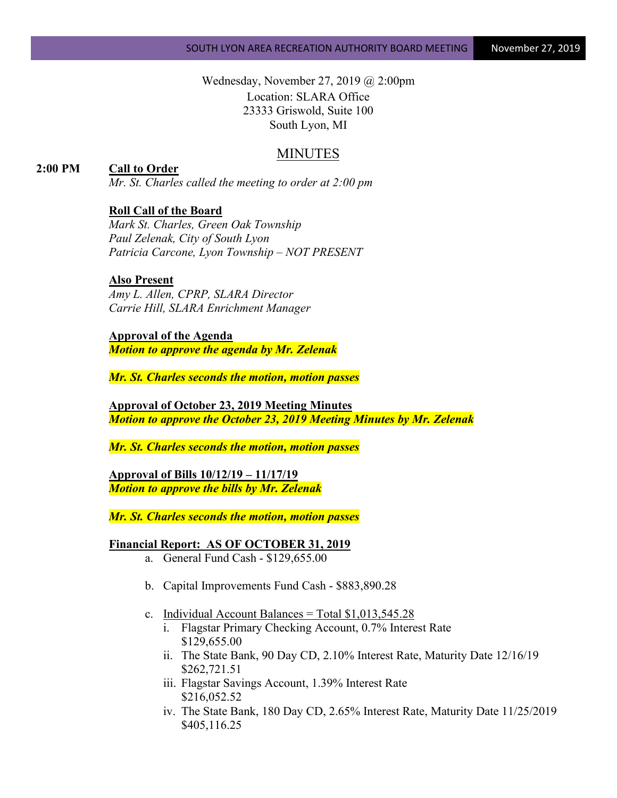Wednesday, November 27, 2019 @ 2:00pm Location: SLARA Office 23333 Griswold, Suite 100 South Lyon, MI

## MINUTES

### **2:00 PM Call to Order**

*Mr. St. Charles called the meeting to order at 2:00 pm*

#### **Roll Call of the Board**

*Mark St. Charles, Green Oak Township Paul Zelenak, City of South Lyon Patricia Carcone, Lyon Township – NOT PRESENT*

#### **Also Present**

*Amy L. Allen, CPRP, SLARA Director Carrie Hill, SLARA Enrichment Manager*

**Approval of the Agenda** *Motion to approve the agenda by Mr. Zelenak*

*Mr. St. Charles seconds the motion, motion passes*

**Approval of October 23, 2019 Meeting Minutes** *Motion to approve the October 23, 2019 Meeting Minutes by Mr. Zelenak*

*Mr. St. Charles seconds the motion, motion passes*

**Approval of Bills 10/12/19 – 11/17/19** *Motion to approve the bills by Mr. Zelenak*

*Mr. St. Charles seconds the motion, motion passes*

#### **Financial Report: AS OF OCTOBER 31, 2019**

- a. General Fund Cash \$129,655.00
- b. Capital Improvements Fund Cash \$883,890.28
- c. Individual Account Balances = Total  $$1,013,545.28$ 
	- i. Flagstar Primary Checking Account, 0.7% Interest Rate \$129,655.00
	- ii. The State Bank, 90 Day CD, 2.10% Interest Rate, Maturity Date 12/16/19 \$262,721.51
	- iii. Flagstar Savings Account, 1.39% Interest Rate \$216,052.52
	- iv. The State Bank, 180 Day CD, 2.65% Interest Rate, Maturity Date 11/25/2019 \$405,116.25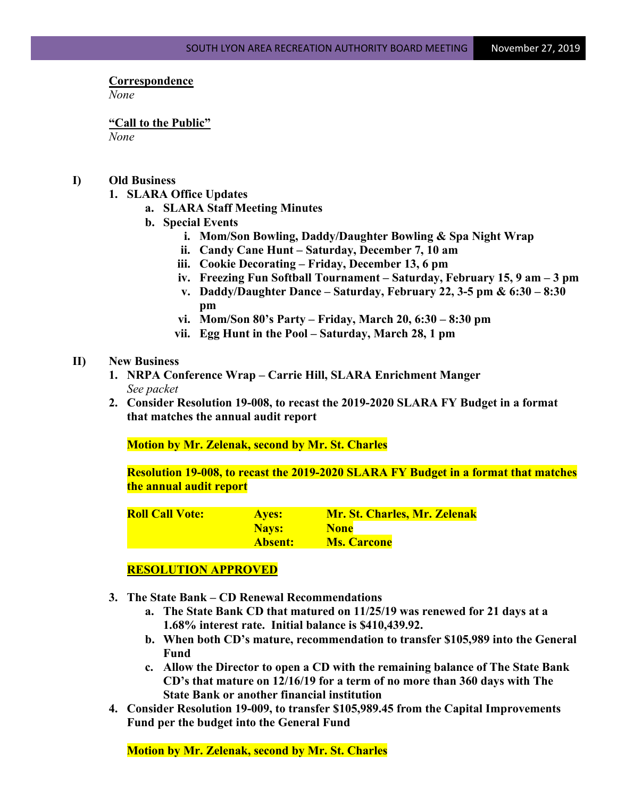# **Correspondence**

*None*

**"Call to the Public"** *None*

#### **I) Old Business**

- **1. SLARA Office Updates**
	- **a. SLARA Staff Meeting Minutes**
	- **b. Special Events**
		- **i. Mom/Son Bowling, Daddy/Daughter Bowling & Spa Night Wrap**
		- **ii. Candy Cane Hunt – Saturday, December 7, 10 am**
		- **iii. Cookie Decorating – Friday, December 13, 6 pm**
		- **iv. Freezing Fun Softball Tournament – Saturday, February 15, 9 am – 3 pm**
		- **v. Daddy/Daughter Dance – Saturday, February 22, 3-5 pm & 6:30 – 8:30 pm**
		- **vi. Mom/Son 80's Party – Friday, March 20, 6:30 – 8:30 pm**
		- **vii. Egg Hunt in the Pool – Saturday, March 28, 1 pm**

#### **II) New Business**

- **1. NRPA Conference Wrap – Carrie Hill, SLARA Enrichment Manger** *See packet*
- **2. Consider Resolution 19-008, to recast the 2019-2020 SLARA FY Budget in a format that matches the annual audit report**

**Motion by Mr. Zelenak, second by Mr. St. Charles**

**Resolution 19-008, to recast the 2019-2020 SLARA FY Budget in a format that matches the annual audit report**

| <b>Roll Call Vote:</b> | <b>Ayes:</b>   | <b>Mr. St. Charles, Mr. Zelenak</b> |
|------------------------|----------------|-------------------------------------|
|                        | Nays:          | <b>None</b>                         |
|                        | <b>Absent:</b> | <b>Ms. Carcone</b>                  |

#### **RESOLUTION APPROVED**

- **3. The State Bank – CD Renewal Recommendations**
	- **a. The State Bank CD that matured on 11/25/19 was renewed for 21 days at a 1.68% interest rate. Initial balance is \$410,439.92.**
	- **b. When both CD's mature, recommendation to transfer \$105,989 into the General Fund**
	- **c. Allow the Director to open a CD with the remaining balance of The State Bank CD's that mature on 12/16/19 for a term of no more than 360 days with The State Bank or another financial institution**
- **4. Consider Resolution 19-009, to transfer \$105,989.45 from the Capital Improvements Fund per the budget into the General Fund**

**Motion by Mr. Zelenak, second by Mr. St. Charles**